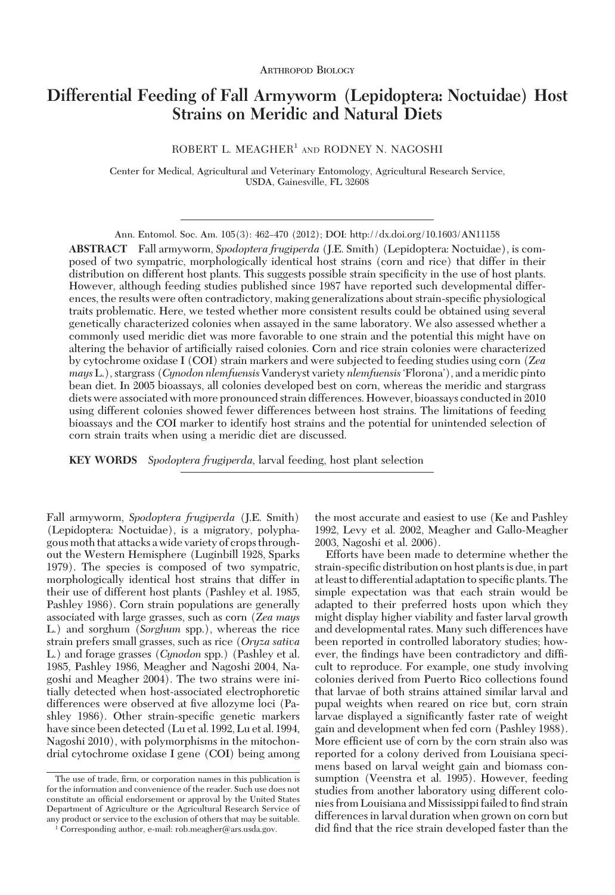# **Differential Feeding of Fall Armyworm (Lepidoptera: Noctuidae) Host Strains on Meridic and Natural Diets**

ROBERT L. MEAGHER<sup>1</sup> AND RODNEY N. NAGOSHI

Center for Medical, Agricultural and Veterinary Entomology, Agricultural Research Service, USDA, Gainesville, FL 32608

Ann. Entomol. Soc. Am. 105(3): 462–470 (2012); DOI: http://dx.doi.org/10.1603/AN11158

**ABSTRACT** Fall armyworm, *Spodoptera frugiperda* (J.E. Smith) (Lepidoptera: Noctuidae), is composed of two sympatric, morphologically identical host strains (corn and rice) that differ in their distribution on different host plants. This suggests possible strain specificity in the use of host plants. However, although feeding studies published since 1987 have reported such developmental differences, the results were often contradictory, making generalizations about strain-specific physiological traits problematic. Here, we tested whether more consistent results could be obtained using several genetically characterized colonies when assayed in the same laboratory. We also assessed whether a commonly used meridic diet was more favorable to one strain and the potential this might have on altering the behavior of artificially raised colonies. Corn and rice strain colonies were characterized by cytochrome oxidase I (COI) strain markers and were subjected to feeding studies using corn (*Zea mays* L.), stargrass (*Cynodon nlemfuensis* Vanderyst variety *nlemfuensis* Florona'), and a meridic pinto bean diet. In 2005 bioassays, all colonies developed best on corn, whereas the meridic and stargrass diets were associated with more pronounced strain differences. However, bioassays conducted in 2010 using different colonies showed fewer differences between host strains. The limitations of feeding bioassays and the COI marker to identify host strains and the potential for unintended selection of corn strain traits when using a meridic diet are discussed.

**KEY WORDS** *Spodoptera frugiperda*, larval feeding, host plant selection

Fall armyworm, *Spodoptera frugiperda* (J.E. Smith) (Lepidoptera: Noctuidae), is a migratory, polyphagous moth that attacks a wide variety of crops throughout the Western Hemisphere (Luginbill 1928, Sparks 1979). The species is composed of two sympatric, morphologically identical host strains that differ in their use of different host plants (Pashley et al. 1985, Pashley 1986). Corn strain populations are generally associated with large grasses, such as corn (*Zea mays* L.) and sorghum (*Sorghum* spp.), whereas the rice strain prefers small grasses, such as rice (*Oryza sativa* L.) and forage grasses (*Cynodon* spp.) (Pashley et al. 1985, Pashley 1986, Meagher and Nagoshi 2004, Nagoshi and Meagher 2004). The two strains were initially detected when host-associated electrophoretic differences were observed at five allozyme loci (Pashley 1986). Other strain-specific genetic markers have since been detected (Lu et al. 1992, Lu et al. 1994, Nagoshi 2010), with polymorphisms in the mitochondrial cytochrome oxidase I gene (COI) being among

the most accurate and easiest to use (Ke and Pashley 1992, Levy et al. 2002, Meagher and Gallo-Meagher 2003, Nagoshi et al. 2006).

Efforts have been made to determine whether the strain-specific distribution on host plants is due, in part at least to differential adaptation to specific plants. The simple expectation was that each strain would be adapted to their preferred hosts upon which they might display higher viability and faster larval growth and developmental rates. Many such differences have been reported in controlled laboratory studies; however, the findings have been contradictory and difficult to reproduce. For example, one study involving colonies derived from Puerto Rico collections found that larvae of both strains attained similar larval and pupal weights when reared on rice but, corn strain larvae displayed a significantly faster rate of weight gain and development when fed corn (Pashley 1988). More efficient use of corn by the corn strain also was reported for a colony derived from Louisiana specimens based on larval weight gain and biomass consumption (Veenstra et al. 1995). However, feeding studies from another laboratory using different colonies from Louisiana and Mississippi failed to find strain differences in larval duration when grown on corn but did find that the rice strain developed faster than the

The use of trade, firm, or corporation names in this publication is for the information and convenience of the reader. Such use does not constitute an official endorsement or approval by the United States Department of Agriculture or the Agricultural Research Service of any product or service to the exclusion of others that may be suitable.

<sup>&</sup>lt;sup>1</sup> Corresponding author, e-mail: rob.meagher@ars.usda.gov.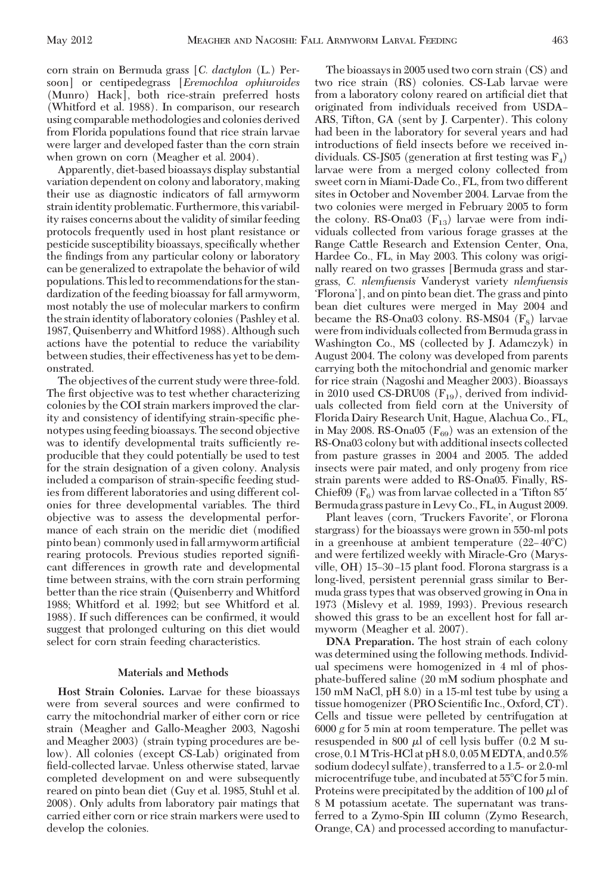corn strain on Bermuda grass [*C. dactylon* (L.) Persoon] or centipedegrass [*Eremochloa ophiuroides* (Munro) Hack], both rice-strain preferred hosts (Whitford et al. 1988). In comparison, our research using comparable methodologies and colonies derived from Florida populations found that rice strain larvae were larger and developed faster than the corn strain when grown on corn (Meagher et al. 2004).

Apparently, diet-based bioassays display substantial variation dependent on colony and laboratory, making their use as diagnostic indicators of fall armyworm strain identity problematic. Furthermore, this variability raises concerns about the validity of similar feeding protocols frequently used in host plant resistance or pesticide susceptibility bioassays, specifically whether the findings from any particular colony or laboratory can be generalized to extrapolate the behavior of wild populations. Thisled to recommendations for the standardization of the feeding bioassay for fall armyworm, most notably the use of molecular markers to confirm the strainidentity oflaboratory colonies (Pashley et al. 1987, Quisenberry andWhitford 1988). Although such actions have the potential to reduce the variability between studies, their effectiveness has yet to be demonstrated.

The objectives of the current study were three-fold. The first objective was to test whether characterizing colonies by the COI strain markers improved the clarity and consistency of identifying strain-specific phenotypes using feeding bioassays. The second objective was to identify developmental traits sufficiently reproducible that they could potentially be used to test for the strain designation of a given colony. Analysis included a comparison of strain-specific feeding studies from different laboratories and using different colonies for three developmental variables. The third objective was to assess the developmental performance of each strain on the meridic diet (modified pinto bean) commonly used in fall armyworm artificial rearing protocols. Previous studies reported signiÞcant differences in growth rate and developmental time between strains, with the corn strain performing better than the rice strain (Quisenberry and Whitford 1988; Whitford et al. 1992; but see Whitford et al. 1988). If such differences can be confirmed, it would suggest that prolonged culturing on this diet would select for corn strain feeding characteristics.

# **Materials and Methods**

**Host Strain Colonies.** Larvae for these bioassays were from several sources and were confirmed to carry the mitochondrial marker of either corn or rice strain (Meagher and Gallo-Meagher 2003, Nagoshi and Meagher 2003) (strain typing procedures are below). All colonies (except CS-Lab) originated from field-collected larvae. Unless otherwise stated, larvae completed development on and were subsequently reared on pinto bean diet (Guy et al. 1985, Stuhl et al. 2008). Only adults from laboratory pair matings that carried either corn or rice strain markers were used to develop the colonies.

The bioassays in 2005 used two corn strain (CS) and two rice strain (RS) colonies. CS-Lab larvae were from a laboratory colony reared on artificial diet that originated from individuals received from USDA ARS, Tifton, GA (sent by J. Carpenter). This colony had been in the laboratory for several years and had introductions of field insects before we received individuals. CS-JS05 (generation at first testing was  $F_4$ ) larvae were from a merged colony collected from sweet corn in Miami-Dade Co., FL, from two different sites in October and November 2004. Larvae from the two colonies were merged in February 2005 to form the colony. RS-Ona03  $(F_{13})$  larvae were from individuals collected from various forage grasses at the Range Cattle Research and Extension Center, Ona, Hardee Co., FL, in May 2003. This colony was originally reared on two grasses [Bermuda grass and stargrass, *C. nlemfuensis* Vanderyst variety *nlemfuensis* Florona'], and on pinto bean diet. The grass and pinto bean diet cultures were merged in May 2004 and became the RS-Ona03 colony. RS-MS04  $(F<sub>s</sub>)$  larvae were fromindividuals collected from Bermuda grassin Washington Co., MS (collected by J. Adamczyk) in August 2004. The colony was developed from parents carrying both the mitochondrial and genomic marker for rice strain (Nagoshi and Meagher 2003). Bioassays in 2010 used CS-DRU08  $(F_{19})$ , derived from individuals collected from field corn at the University of Florida Dairy Research Unit, Hague, Alachua Co., FL, in May 2008. RS-Ona05 ( $F_{69}$ ) was an extension of the RS-Ona03 colony but with additional insects collected from pasture grasses in 2004 and 2005. The added insects were pair mated, and only progeny from rice strain parents were added to RS-Ona05. Finally, RS-Chief09  $(F_6)$  was from larvae collected in a Tifton 85' Bermuda grass pasture in Levy Co., FL, in August 2009.

Plant leaves (corn, 'Truckers Favorite', or Florona stargrass) for the bioassays were grown in 550-ml pots in a greenhouse at ambient temperature  $(22-40^{\circ}C)$ and were fertilized weekly with Miracle-Gro (Marysville, OH) 15-30-15 plant food. Florona stargrass is a long-lived, persistent perennial grass similar to Bermuda grass types that was observed growing in Ona in 1973 (Mislevy et al. 1989, 1993). Previous research showed this grass to be an excellent host for fall armyworm (Meagher et al. 2007).

**DNA Preparation.** The host strain of each colony was determined using the following methods. Individual specimens were homogenized in 4 ml of phosphate-buffered saline (20 mM sodium phosphate and 150 mM NaCl, pH 8.0) in a 15-ml test tube by using a tissue homogenizer (PRO Scientific Inc., Oxford, CT). Cells and tissue were pelleted by centrifugation at 6000 *g* for 5 min at room temperature. The pellet was resuspended in 800  $\mu$ l of cell lysis buffer (0.2 M sucrose, 0.1M Tris-HCl at pH 8.0, 0.05M EDTA, and 0.5% sodium dodecyl sulfate), transferred to a 1.5- or 2.0-ml microcentrifuge tube, and incubated at 55°C for 5 min. Proteins were precipitated by the addition of 100  $\mu$  of 8 M potassium acetate. The supernatant was transferred to a Zymo-Spin III column (Zymo Research, Orange, CA) and processed according to manufactur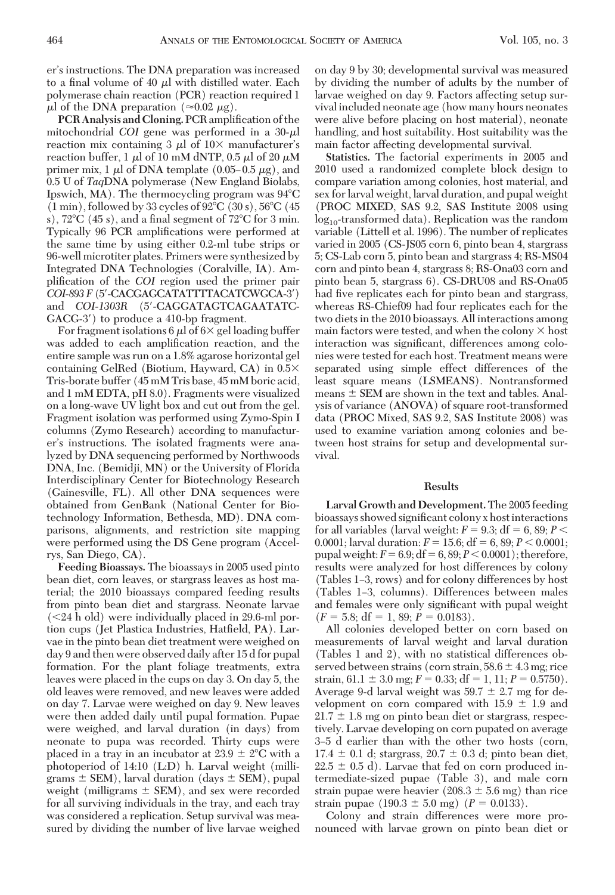er's instructions. The DNA preparation was increased to a final volume of 40  $\mu$ l with distilled water. Each polymerase chain reaction (PCR) reaction required 1  $\mu$ l of the DNA preparation ( $\approx 0.02 \mu$ g).

**PCR Analysis and Cloning.** PCR amplification of the mitochondrial *COI* gene was performed in a  $30-\mu$ reaction mix containing 3  $\mu$ l of 10 $\times$  manufacturer's reaction buffer, 1  $\mu$ l of 10 mM dNTP, 0.5  $\mu$ l of 20  $\mu$ M primer mix, 1  $\mu$ l of DNA template (0.05–0.5  $\mu$ g), and 0.5 U of *Taq*DNA polymerase (New England Biolabs, Ipswich, MA). The thermocycling program was  $94^{\circ}$ C  $(1 \text{ min})$ , followed by 33 cycles of 92 $\degree$ C  $(30 \text{ s})$ , 56 $\degree$ C  $(45 \text{ s})$ s),  $72^{\circ}$ C (45 s), and a final segment of  $72^{\circ}$ C for 3 min. Typically 96 PCR amplifications were performed at the same time by using either 0.2-ml tube strips or 96-well microtiter plates. Primers were synthesized by Integrated DNA Technologies (Coralville, IA). Amplification of the *COI* region used the primer pair *COI-893 F* (5-CACGAGCATATTTTACATCWGCA-3) and *COI-1303R* (5-CAGGATAGTCAGAATATC-GACG-3<sup>'</sup>) to produce a 410-bp fragment.

For fragment isolations 6  $\mu$ l of 6 $\times$  gel loading buffer was added to each amplification reaction, and the entire sample was run on a 1.8% agarose horizontal gel containing GelRed (Biotium, Hayward, CA) in 0.5 Tris-borate buffer (45 mM Tris base, 45 mM boric acid, and 1 mM EDTA, pH 8.0). Fragments were visualized on a long-wave UV light box and cut out from the gel. Fragment isolation was performed using Zymo-Spin I columns (Zymo Research) according to manufacturer's instructions. The isolated fragments were analyzed by DNA sequencing performed by Northwoods DNA, Inc. (Bemidji, MN) or the University of Florida Interdisciplinary Center for Biotechnology Research (Gainesville, FL). All other DNA sequences were obtained from GenBank (National Center for Biotechnology Information, Bethesda, MD). DNA comparisons, alignments, and restriction site mapping were performed using the DS Gene program (Accelrys, San Diego, CA).

**Feeding Bioassays.** The bioassays in 2005 used pinto bean diet, corn leaves, or stargrass leaves as host material; the 2010 bioassays compared feeding results from pinto bean diet and stargrass. Neonate larvae  $(< 24$  h old) were individually placed in 29.6-ml portion cups (Jet Plastica Industries, Hatfield, PA). Larvae in the pinto bean diet treatment were weighed on day 9 and then were observed daily after 15 d for pupal formation. For the plant foliage treatments, extra leaves were placed in the cups on day 3. On day 5, the old leaves were removed, and new leaves were added on day 7. Larvae were weighed on day 9. New leaves were then added daily until pupal formation. Pupae were weighed, and larval duration (in days) from neonate to pupa was recorded. Thirty cups were placed in a tray in an incubator at  $23.9 \pm 2^{\circ}$ C with a photoperiod of 14:10 (L:D) h. Larval weight (milligrams  $\pm$  SEM), larval duration (days  $\pm$  SEM), pupal weight (milligrams  $\pm$  SEM), and sex were recorded for all surviving individuals in the tray, and each tray was considered a replication. Setup survival was measured by dividing the number of live larvae weighed

on day 9 by 30; developmental survival was measured by dividing the number of adults by the number of larvae weighed on day 9. Factors affecting setup survival included neonate age (how many hours neonates were alive before placing on host material), neonate handling, and host suitability. Host suitability was the main factor affecting developmental survival.

**Statistics.** The factorial experiments in 2005 and 2010 used a randomized complete block design to compare variation among colonies, host material, and sex for larval weight, larval duration, and pupal weight (PROC MIXED, SAS 9.2, SAS Institute 2008 using  $log_{10}$ -transformed data). Replication was the random variable (Littell et al. 1996). The number of replicates varied in 2005 (CS-JS05 corn 6, pinto bean 4, stargrass 5; CS-Lab corn 5, pinto bean and stargrass 4; RS-MS04 corn and pinto bean 4, stargrass 8; RS-Ona03 corn and pinto bean 5, stargrass 6). CS-DRU08 and RS-Ona05 had five replicates each for pinto bean and stargrass, whereas RS-Chief09 had four replicates each for the two diets in the 2010 bioassays. All interactions among main factors were tested, and when the colony  $\times$  host interaction was significant, differences among colonies were tested for each host. Treatment means were separated using simple effect differences of the least square means (LSMEANS). Nontransformed means  $\pm$  SEM are shown in the text and tables. Analysis of variance (ANOVA) of square root-transformed data (PROC Mixed, SAS 9.2, SAS Institute 2008) was used to examine variation among colonies and between host strains for setup and developmental survival.

# **Results**

**Larval Growth and Development.**The 2005 feeding bioassays showed significant colony x host interactions for all variables (larval weight:  $F = 9.3$ ; df = 6, 89;  $P <$ 0.0001; larval duration:  $F = 15.6$ ; df = 6, 89;  $P < 0.0001$ ; pupal weight:  $F = 6.9$ ; df =  $6, 89$ ;  $P < 0.0001$ ); therefore, results were analyzed for host differences by colony (Tables 1–3, rows) and for colony differences by host (Tables 1–3, columns). Differences between males and females were only significant with pupal weight  $(F = 5.8; df = 1, 89; P = 0.0183).$ 

All colonies developed better on corn based on measurements of larval weight and larval duration (Tables 1 and 2), with no statistical differences observed between strains (corn strain,  $58.6 \pm 4.3$  mg; rice strain,  $61.1 \pm 3.0$  mg;  $F = 0.33$ ;  $df = 1$ ,  $11$ ;  $P = 0.5750$ ). Average 9-d larval weight was  $59.7 \pm 2.7$  mg for development on corn compared with  $15.9 \pm 1.9$  and  $21.7 \pm 1.8$  mg on pinto bean diet or stargrass, respectively. Larvae developing on corn pupated on average 3Ð5 d earlier than with the other two hosts (corn,  $17.4 \pm 0.1$  d; stargrass,  $20.7 \pm 0.3$  d; pinto bean diet,  $22.5 \pm 0.5$  d). Larvae that fed on corn produced intermediate-sized pupae (Table 3), and male corn strain pupae were heavier  $(208.3 \pm 5.6 \text{ mg})$  than rice strain pupae  $(190.3 \pm 5.0 \text{ mg})$   $(P = 0.0133)$ .

Colony and strain differences were more pronounced with larvae grown on pinto bean diet or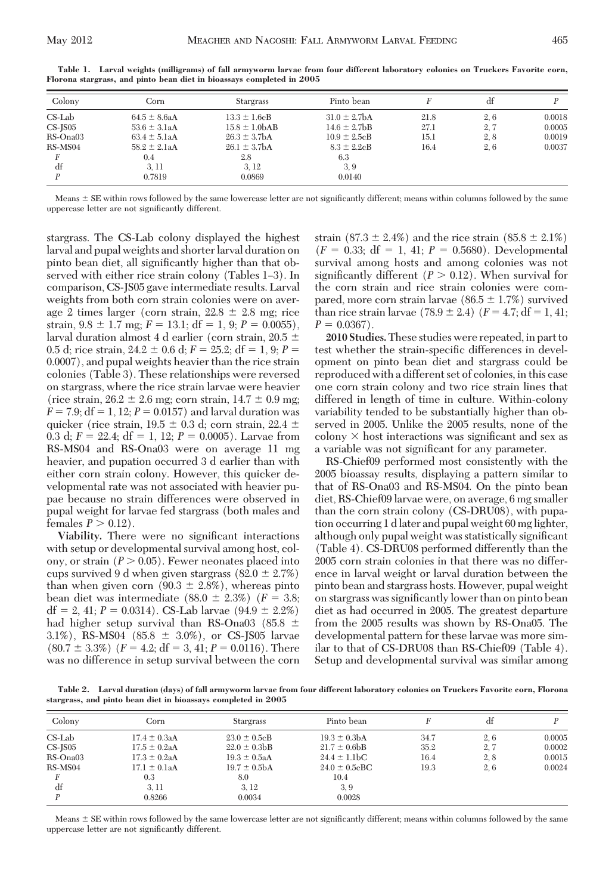| Colony        | Corn              | <b>Stargrass</b>  | Pinto bean        |      |     |        |
|---------------|-------------------|-------------------|-------------------|------|-----|--------|
|               |                   |                   |                   |      |     |        |
| $CS$ -Lab     | $64.5 \pm 8.6a$ A | $13.3 \pm 1.6$ cB | $31.0 \pm 2.7$ bA | 21.8 | 2,6 | 0.0018 |
| $CS$ - $IS05$ | $53.6 \pm 3.1aA$  | $15.8 \pm 1.0bAB$ | $14.6 \pm 2.7$ bB | 27.1 | 2,7 | 0.0005 |
| RS-Ona03      | $63.4 \pm 5.1aA$  | $26.3 \pm 3.7$ bA | $10.9 \pm 2.5$ cB | 15.1 | 2.8 | 0.0019 |
| RS-MS04       | $58.2 \pm 2.1aA$  | $26.1 \pm 3.7bA$  | $8.3 \pm 2.2$ cB  | 16.4 | 2.6 | 0.0037 |
|               | 0.4               | 2.8               | 6.3               |      |     |        |
| df            | 3.11              | 3, 12             | 3, 9              |      |     |        |
|               | 0.7819            | 0.0869            | 0.0140            |      |     |        |

**Table 1. Larval weights (milligrams) of fall armyworm larvae from four different laboratory colonies on Truckers Favorite corn, Florona stargrass, and pinto bean diet in bioassays completed in 2005**

Means  $\pm$  SE within rows followed by the same lowercase letter are not significantly different; means within columns followed by the same uppercase letter are not significantly different.

stargrass. The CS-Lab colony displayed the highest larval and pupal weights and shorter larval duration on pinto bean diet, all significantly higher than that observed with either rice strain colony (Tables 1–3). In comparison, CS-JS05 gave intermediate results. Larval weights from both corn strain colonies were on average 2 times larger (corn strain,  $22.8 \pm 2.8$  mg; rice strain,  $9.8 \pm 1.7$  mg;  $F = 13.1$ ; df = 1, 9;  $P = 0.0055$ ), larval duration almost 4 d earlier (corn strain,  $20.5 \pm$ 0.5 d; rice strain,  $24.2 \pm 0.6$  d;  $F = 25.2$ ; df = 1, 9;  $P =$ 0.0007), and pupal weights heavier than the rice strain colonies (Table 3). These relationships were reversed on stargrass, where the rice strain larvae were heavier (rice strain,  $26.2 \pm 2.6$  mg; corn strain,  $14.7 \pm 0.9$  mg;  $F = 7.9$ ;  $df = 1$ , 12;  $P = 0.0157$ ) and larval duration was quicker (rice strain,  $19.5 \pm 0.3$  d; corn strain,  $22.4 \pm$ 0.3 d;  $F = 22.4$ ; df = 1, 12;  $P = 0.0005$ ). Larvae from RS-MS04 and RS-Ona03 were on average 11 mg heavier, and pupation occurred 3 d earlier than with either corn strain colony. However, this quicker developmental rate was not associated with heavier pupae because no strain differences were observed in pupal weight for larvae fed stargrass (both males and females  $P > 0.12$ ).

Viability. There were no significant interactions with setup or developmental survival among host, colony, or strain  $(P > 0.05)$ . Fewer neonates placed into cups survived 9 d when given stargrass  $(82.0 \pm 2.7\%)$ than when given corn  $(90.3 \pm 2.8%)$ , whereas pinto bean diet was intermediate  $(88.0 \pm 2.3\%)$   $(F = 3.8;$  $df = 2, 41; P = 0.0314$ . CS-Lab larvae  $(94.9 \pm 2.2\%)$ had higher setup survival than RS-Ona03 (85.8  $\pm$ 3.1%), RS-MS04 (85.8  $\pm$  3.0%), or CS-JS05 larvae  $(80.7 \pm 3.3\%)$   $(F = 4.2; df = 3, 41; P = 0.0116)$ . There was no difference in setup survival between the corn strain  $(87.3 \pm 2.4\%)$  and the rice strain  $(85.8 \pm 2.1\%)$  $(F = 0.33; df = 1, 41; P = 0.5680)$ . Developmental survival among hosts and among colonies was not significantly different  $(P > 0.12)$ . When survival for the corn strain and rice strain colonies were compared, more corn strain larvae ( $86.5 \pm 1.7\%$ ) survived than rice strain larvae  $(78.9 \pm 2.4)$   $(F = 4.7; df = 1, 41;$  $P = 0.0367$ .

**2010 Studies.**These studies were repeated, in part to test whether the strain-specific differences in development on pinto bean diet and stargrass could be reproduced with a different set of colonies, in this case one corn strain colony and two rice strain lines that differed in length of time in culture. Within-colony variability tended to be substantially higher than observed in 2005. Unlike the 2005 results, none of the colony  $\times$  host interactions was significant and sex as a variable was not significant for any parameter.

RS-Chief09 performed most consistently with the 2005 bioassay results, displaying a pattern similar to that of RS-Ona03 and RS-MS04. On the pinto bean diet, RS-Chief09 larvae were, on average, 6 mg smaller than the corn strain colony (CS-DRU08), with pupation occurring 1 d later and pupal weight 60 mg lighter, although only pupal weight was statistically significant (Table 4). CS-DRU08 performed differently than the 2005 corn strain colonies in that there was no difference in larval weight or larval duration between the pinto bean and stargrass hosts. However, pupal weight on stargrass was significantly lower than on pinto bean diet as had occurred in 2005. The greatest departure from the 2005 results was shown by RS-Ona05. The developmental pattern for these larvae was more similar to that of CS-DRU08 than RS-Chief09 (Table 4). Setup and developmental survival was similar among

**Table 2. Larval duration (days) of fall armyworm larvae from four different laboratory colonies on Truckers Favorite corn, Florona stargrass, and pinto bean diet in bioassays completed in 2005**

| Colony        | Corn             | <b>Stargrass</b>  | Pinto bean                   |      | df   |        |
|---------------|------------------|-------------------|------------------------------|------|------|--------|
| $CS$ -Lab     | $17.4 \pm 0.3aA$ | $23.0 \pm 0.5$ cB | $19.3 \pm 0.3bA$             | 34.7 | 2.6  | 0.0005 |
| $CS$ - $IS05$ | $17.5 \pm 0.2aA$ | $22.0 \pm 0.3$ bB | $21.7 \pm 0.6$ bB            | 35.2 | 2,7  | 0.0002 |
| RS-Ona03      | $17.3 \pm 0.2aA$ | $19.3 \pm 0.5$ aA | $24.4 \pm 1.1$ <sub>bC</sub> | 16.4 | 2, 8 | 0.0015 |
| RS-MS04       | $17.1 \pm 0.1aA$ | $19.7 \pm 0.5bA$  | $24.0 \pm 0.5$ cBC           | 19.3 | 2, 6 | 0.0024 |
|               | 0.3              | 8.0               | 10.4                         |      |      |        |
| df            | 3, 11            | 3.12              | 3, 9                         |      |      |        |
|               | 0.8266           | 0.0034            | 0.0028                       |      |      |        |

Means  $\pm$  SE within rows followed by the same lowercase letter are not significantly different; means within columns followed by the same uppercase letter are not significantly different.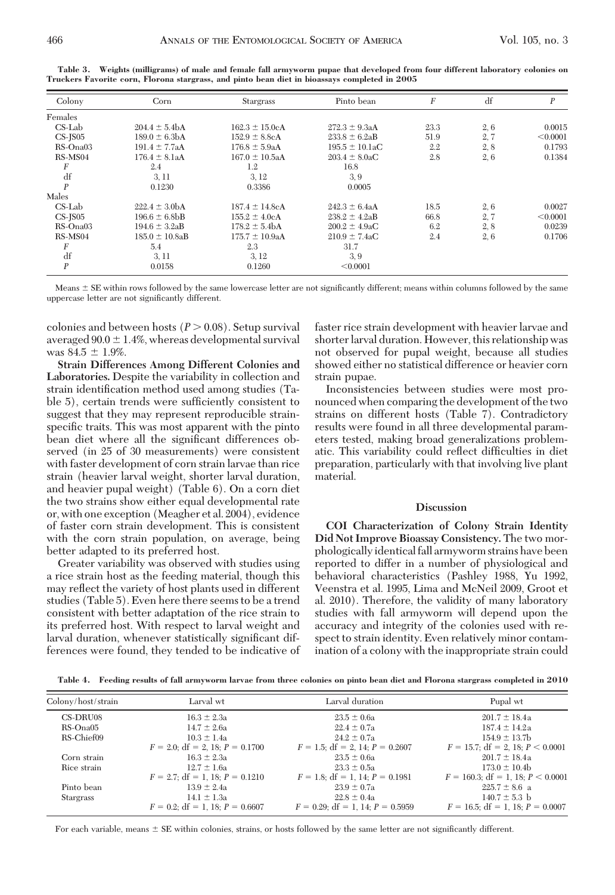| Colony           | Corn                | <b>Stargrass</b>    | Pinto bean          | $\boldsymbol{F}$ | df   | P        |
|------------------|---------------------|---------------------|---------------------|------------------|------|----------|
| Females          |                     |                     |                     |                  |      |          |
| $CS$ -Lab        | $204.4 \pm 5.4bA$   | $162.3 \pm 15.0cA$  | $272.3 \pm 9.3aA$   | 23.3             | 2, 6 | 0.0015   |
| $CS$ -J $S$ 05   | $189.0 \pm 6.3bA$   | $152.9 \pm 8.8$ cA  | $233.8 \pm 6.2aB$   | 51.9             | 2, 7 | < 0.0001 |
| $RS$ -Ona03      | $191.4 \pm 7.7aA$   | $176.8 \pm 5.9aA$   | $195.5 \pm 10.1$ aC | 2.2              | 2, 8 | 0.1793   |
| RS-MS04          | $176.4 \pm 8.1aA$   | $167.0 \pm 10.5aA$  | $203.4 \pm 8.0$ aC  | 2.8              | 2, 6 | 0.1384   |
| F                | 2.4                 | 1.2                 | 16.8                |                  |      |          |
| df               | 3, 11               | 3, 12               | 3.9                 |                  |      |          |
| $\boldsymbol{P}$ | 0.1230              | 0.3386              | 0.0005              |                  |      |          |
| Males            |                     |                     |                     |                  |      |          |
| $CS$ -Lab        | $222.4 \pm 3.0bA$   | $187.4 \pm 14.8$ cA | $242.3 \pm 6.4aA$   | 18.5             | 2, 6 | 0.0027   |
| $CS$ -J $S$ 05   | $196.6 \pm 6.8$ bB  | $155.2 \pm 4.0cA$   | $238.2 \pm 4.2aB$   | 66.8             | 2, 7 | < 0.0001 |
| $RS$ -Ona03      | $194.6 \pm 3.2aB$   | $178.2 \pm 5.4bA$   | $200.2 \pm 4.9$ aC  | 6.2              | 2, 8 | 0.0239   |
| RS-MS04          | $185.0 \pm 10.8$ aB | $175.7 \pm 10.9aA$  | $210.9 \pm 7.4$ aC  | 2.4              | 2,6  | 0.1706   |
| F                | 5.4                 | 2.3                 | 31.7                |                  |      |          |
| df               | 3, 11               | 3, 12               | 3.9                 |                  |      |          |
| $\boldsymbol{P}$ | 0.0158              | 0.1260              | < 0.0001            |                  |      |          |

**Table 3. Weights (milligrams) of male and female fall armyworm pupae that developed from four different laboratory colonies on Truckers Favorite corn, Florona stargrass, and pinto bean diet in bioassays completed in 2005**

Means  $\pm$  SE within rows followed by the same lowercase letter are not significantly different; means within columns followed by the same uppercase letter are not significantly different.

colonies and between hosts  $(P > 0.08)$ . Setup survival averaged  $90.0 \pm 1.4\%$ , whereas developmental survival was  $84.5 \pm 1.9\%$ .

**Strain Differences Among Different Colonies and Laboratories.** Despite the variability in collection and strain identification method used among studies (Table 5), certain trends were sufficiently consistent to suggest that they may represent reproducible strainspecific traits. This was most apparent with the pinto bean diet where all the significant differences observed (in 25 of 30 measurements) were consistent with faster development of corn strain larvae than rice strain (heavier larval weight, shorter larval duration, and heavier pupal weight) (Table 6). On a corn diet the two strains show either equal developmental rate or, with one exception (Meagher et al. 2004), evidence of faster corn strain development. This is consistent with the corn strain population, on average, being better adapted to its preferred host.

Greater variability was observed with studies using a rice strain host as the feeding material, though this may reßect the variety of host plants used in different studies (Table 5). Even here there seems to be a trend consistent with better adaptation of the rice strain to its preferred host. With respect to larval weight and larval duration, whenever statistically significant differences were found, they tended to be indicative of

faster rice strain development with heavier larvae and shorter larval duration. However, this relationship was not observed for pupal weight, because all studies showed either no statistical difference or heavier corn strain pupae.

Inconsistencies between studies were most pronounced when comparing the development of the two strains on different hosts (Table 7). Contradictory results were found in all three developmental parameters tested, making broad generalizations problematic. This variability could reflect difficulties in diet preparation, particularly with that involving live plant material.

#### **Discussion**

**COI Characterization of Colony Strain Identity Did Not Improve Bioassay Consistency.** The two morphologicallyidentical fall armyworm strains have been reported to differ in a number of physiological and behavioral characteristics (Pashley 1988, Yu 1992, Veenstra et al. 1995, Lima and McNeil 2009, Groot et al. 2010). Therefore, the validity of many laboratory studies with fall armyworm will depend upon the accuracy and integrity of the colonies used with respect to strain identity. Even relatively minor contamination of a colony with the inappropriate strain could

**Table 4. Feeding results of fall armyworm larvae from three colonies on pinto bean diet and Florona stargrass completed in 2010**

| Colony/host/strain | Larval wt                            | Larval duration                       | Pupal wt                               |
|--------------------|--------------------------------------|---------------------------------------|----------------------------------------|
| CS-DRU08           | $16.3 \pm 2.3a$                      | $23.5 \pm 0.6a$                       | $201.7 \pm 18.4a$                      |
| $RS$ -Ona $05$     | $14.7 \pm 2.6a$                      | $22.4 \pm 0.7a$                       | $187.4 \pm 14.2a$                      |
| RS-Chief09         | $10.3 \pm 1.4a$                      | $24.2 \pm 0.7a$                       | $154.9 \pm 13.7$ b                     |
|                    | $F = 2.0$ ; df = 2, 18; $P = 0.1700$ | $F = 1.5$ ; df = 2, 14; $P = 0.2607$  | $F = 15.7$ ; df = 2, 18; $P < 0.0001$  |
| Corn strain        | $16.3 \pm 2.3a$                      | $23.5 \pm 0.6a$                       | $201.7 \pm 18.4a$                      |
| Rice strain        | $12.7 \pm 1.6a$                      | $23.3 \pm 0.5a$                       | $173.0 \pm 10.4b$                      |
|                    | $F = 2.7$ ; df = 1, 18; $P = 0.1210$ | $F = 1.8$ ; df = 1, 14; $P = 0.1981$  | $F = 160.3$ ; df = 1, 18; $P < 0.0001$ |
| Pinto bean         | $13.9 \pm 2.4a$                      | $23.9 \pm 0.7a$                       | $225.7 \pm 8.6$ a                      |
| <b>Stargrass</b>   | $14.1 \pm 1.3a$                      | $22.8 \pm 0.4a$                       | $140.7 \pm 5.3$ b                      |
|                    | $F = 0.2$ ; df = 1, 18; $P = 0.6607$ | $F = 0.29$ ; df = 1, 14; $P = 0.5959$ | $F = 16.5$ ; df = 1, 18; $P = 0.0007$  |

For each variable, means  $\pm$  SE within colonies, strains, or hosts followed by the same letter are not significantly different.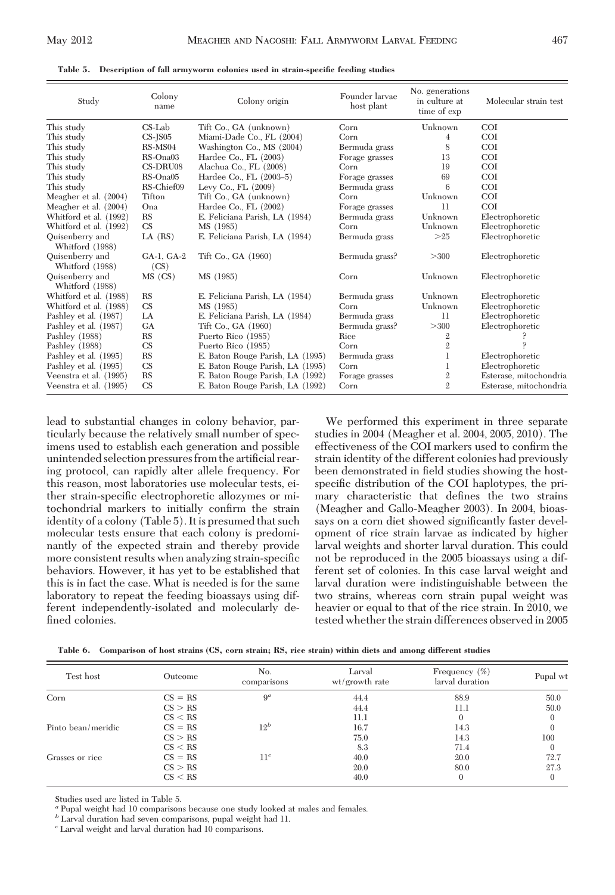|  | Table 5. Description of fall armyworm colonies used in strain-specific feeding studies |  |  |  |  |
|--|----------------------------------------------------------------------------------------|--|--|--|--|
|--|----------------------------------------------------------------------------------------|--|--|--|--|

| Study                              | Colony<br>name     | Colony origin                    | Founder larvae<br>host plant | No. generations<br>in culture at<br>time of exp | Molecular strain test  |
|------------------------------------|--------------------|----------------------------------|------------------------------|-------------------------------------------------|------------------------|
| This study                         | $CS$ -Lab          | Tift Co., GA (unknown)           | Corn                         | Unknown                                         | <b>COI</b>             |
| This study                         | $CS$ - $IS05$      | Miami-Dade Co., FL (2004)        | Corn                         | 4                                               | <b>COI</b>             |
| This study                         | RS-MS04            | Washington Co., MS (2004)        | Bermuda grass                | 8                                               | COI                    |
| This study                         | $RS$ -Ona03        | Hardee Co., $FL(2003)$           | Forage grasses               | 13                                              | <b>COI</b>             |
| This study                         | CS-DRU08           | Alachua Co., FL (2008)           | Corn                         | 19                                              | <b>COI</b>             |
| This study                         | $RS$ -Ona $05$     | Hardee Co., FL (2003-5)          | Forage grasses               | 69                                              | <b>COI</b>             |
| This study                         | RS-Chief09         | Levy Co., FL $(2009)$            | Bermuda grass                | 6                                               | <b>COI</b>             |
| Meagher et al. (2004)              | Tifton             | Tift Co., GA (unknown)           | Corn                         | Unknown                                         | COI                    |
| Meagher et al. (2004)              | Ona                | Hardee Co., $FL(2002)$           | Forage grasses               | 11                                              | <b>COI</b>             |
| Whitford et al. (1992)             | RS                 | E. Feliciana Parish, LA (1984)   | Bermuda grass                | Unknown                                         | Electrophoretic        |
| Whitford et al. (1992)             | CS                 | MS (1985)                        | Corn                         | Unknown                                         | Electrophoretic        |
| Quisenberry and<br>Whitford (1988) | $LA$ $(RS)$        | E. Feliciana Parish, LA (1984)   | Bermuda grass                | >25                                             | Electrophoretic        |
| Quisenberry and<br>Whitford (1988) | GA-1, GA-2<br>(CS) | Tift Co., GA (1960)              | Bermuda grass?               | >300                                            | Electrophoretic        |
| Quisenberry and<br>Whitford (1988) | MS (CS)            | MS (1985)                        | Corn                         | Unknown                                         | Electrophoretic        |
| Whitford et al. (1988)             | <b>RS</b>          | E. Feliciana Parish, LA (1984)   | Bermuda grass                | Unknown                                         | Electrophoretic        |
| Whitford et al. (1988)             | <b>CS</b>          | MS (1985)                        | Corn                         | Unknown                                         | Electrophoretic        |
| Pashley et al. (1987)              | LA                 | E. Feliciana Parish, LA (1984)   | Bermuda grass                | 11                                              | Electrophoretic        |
| Pashley et al. (1987)              | <b>GA</b>          | Tift Co., GA (1960)              | Bermuda grass?               | >300                                            | Electrophoretic        |
| Pashley (1988)                     | RS                 | Puerto Rico (1985)               | Rice                         | $\mathbf{2}$                                    |                        |
| Pashley (1988)                     | CS                 | Puerto Rico (1985)               | Corn                         | $\mathbf{2}$                                    | م                      |
| Pashley et al. (1995)              | <b>RS</b>          | E. Baton Rouge Parish, LA (1995) | Bermuda grass                | 1                                               | Electrophoretic        |
| Pashley et al. (1995)              | <b>CS</b>          | E. Baton Rouge Parish, LA (1995) | Corn                         | 1                                               | Electrophoretic        |
| Veenstra et al. (1995)             | <b>RS</b>          | E. Baton Rouge Parish, LA (1992) | Forage grasses               | $\overline{2}$                                  | Esterase, mitochondria |
| Veenstra et al. (1995)             | <b>CS</b>          | E. Baton Rouge Parish, LA (1992) | Corn                         | $\overline{2}$                                  | Esterase, mitochondria |

lead to substantial changes in colony behavior, particularly because the relatively small number of specimens used to establish each generation and possible unintended selection pressures from the artificial rearing protocol, can rapidly alter allele frequency. For this reason, most laboratories use molecular tests, either strain-specific electrophoretic allozymes or mitochondrial markers to initially confirm the strain identity of a colony (Table 5). It is presumed that such molecular tests ensure that each colony is predominantly of the expected strain and thereby provide more consistent results when analyzing strain-specific behaviors. However, it has yet to be established that this is in fact the case. What is needed is for the same laboratory to repeat the feeding bioassays using different independently-isolated and molecularly defined colonies.

We performed this experiment in three separate studies in 2004 (Meagher et al. 2004, 2005, 2010). The effectiveness of the COI markers used to confirm the strain identity of the different colonies had previously been demonstrated in field studies showing the hostspecific distribution of the COI haplotypes, the primary characteristic that defines the two strains (Meagher and Gallo-Meagher 2003). In 2004, bioassays on a corn diet showed significantly faster development of rice strain larvae as indicated by higher larval weights and shorter larval duration. This could not be reproduced in the 2005 bioassays using a different set of colonies. In this case larval weight and larval duration were indistinguishable between the two strains, whereas corn strain pupal weight was heavier or equal to that of the rice strain. In 2010, we tested whether the strain differences observed in 2005

| Table 6. Comparison of host strains (CS, corn strain; RS, rice strain) within diets and among different studies |  |  |  |  |  |
|-----------------------------------------------------------------------------------------------------------------|--|--|--|--|--|
|                                                                                                                 |  |  |  |  |  |

| Test host          | Outcome   | No.<br>comparisons | Larval<br>wt/growth rate | Frequency $(\%)$<br>larval duration | Pupal wt     |
|--------------------|-----------|--------------------|--------------------------|-------------------------------------|--------------|
| Corn               | $CS = RS$ | $9^a$              | 44.4                     | 88.9                                | 50.0         |
|                    | CS > RS   |                    | 44.4                     | 11.1                                | 50.0         |
|                    | CS < RS   |                    | 11.1                     |                                     | $\Omega$     |
| Pinto bean/meridic | $CS = RS$ | $12^b$             | 16.7                     | 14.3                                |              |
|                    | CS > RS   |                    | 75.0                     | 14.3                                | 100          |
|                    | CS < RS   |                    | 8.3                      | 71.4                                | $\Omega$     |
| Grasses or rice    | $CS = RS$ | $11^c$             | 40.0                     | 20.0                                | 72.7         |
|                    | CS > RS   |                    | 20.0                     | 80.0                                | 27.3         |
|                    | CS < RS   |                    | 40.0                     | $\Omega$                            | $\mathbf{0}$ |

Studies used are listed in Table 5.

*<sup>a</sup>* Pupal weight had 10 comparisons because one study looked at males and females.

*<sup>b</sup>* Larval duration had seven comparisons, pupal weight had 11.

*<sup>c</sup>* Larval weight and larval duration had 10 comparisons.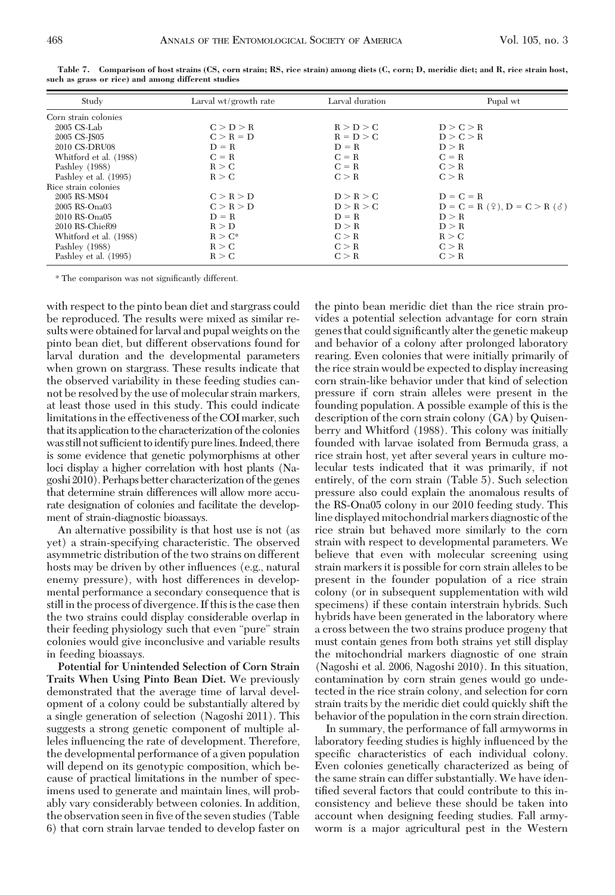| Study                  | Larval wt/growth rate | Larval duration | Pupal wt                                         |
|------------------------|-----------------------|-----------------|--------------------------------------------------|
| Corn strain colonies   |                       |                 |                                                  |
| $2005$ CS-Lab          | C > D > R             | R > D > C       | D > C > R                                        |
| 2005 CS-JS05           | $C > R = D$           | $R = D > C$     | D > C > R                                        |
| 2010 CS-DRU08          | $D = R$               | $D = R$         | D > R                                            |
| Whitford et al. (1988) | $C = R$               | $C = R$         | $C = R$                                          |
| Pashley (1988)         | R > C                 | $C = R$         | C > R                                            |
| Pashley et al. (1995)  | R > C                 | C > R           | C > R                                            |
| Rice strain colonies   |                       |                 |                                                  |
| 2005 RS-MS04           | C > R > D             | D > R > C       | $D = C = R$                                      |
| 2005 RS-Ona03          | C > R > D             | D > R > C       | $D = C = R(\mathcal{Q}), D = C > R(\mathcal{S})$ |
| 2010 RS-Ona05          | $D = R$               | $D = R$         | D > R                                            |
| 2010 RS-Chief09        | R > D                 | D > R           | D > R                                            |
| Whitford et al. (1988) | $R > C^*$             | C > R           | R > C                                            |
| Pashley (1988)         | R > C                 | C > R           | C > R                                            |
| Pashley et al. (1995)  | R > C                 | C > R           | C > R                                            |

**Table 7. Comparison of host strains (CS, corn strain; RS, rice strain) among diets (C, corn; D, meridic diet; and R, rice strain host, such as grass or rice) and among different studies**

\* The comparison was not signiÞcantly different.

with respect to the pinto bean diet and stargrass could be reproduced. The results were mixed as similar results were obtained for larval and pupal weights on the pinto bean diet, but different observations found for larval duration and the developmental parameters when grown on stargrass. These results indicate that the observed variability in these feeding studies cannot be resolved by the use of molecular strain markers, at least those used in this study. This could indicate limitations in the effectiveness of the COI marker, such that its application to the characterization of the colonies was still not sufficient to identify pure lines. Indeed, there is some evidence that genetic polymorphisms at other loci display a higher correlation with host plants (Nagoshi 2010). Perhaps better characterization of the genes that determine strain differences will allow more accurate designation of colonies and facilitate the development of strain-diagnostic bioassays.

An alternative possibility is that host use is not (as yet) a strain-specifying characteristic. The observed asymmetric distribution of the two strains on different hosts may be driven by other influences (e.g., natural enemy pressure), with host differences in developmental performance a secondary consequence that is still in the process of divergence. If this is the case then the two strains could display considerable overlap in their feeding physiology such that even "pure" strain colonies would give inconclusive and variable results in feeding bioassays.

**Potential for Unintended Selection of Corn Strain Traits When Using Pinto Bean Diet.** We previously demonstrated that the average time of larval development of a colony could be substantially altered by a single generation of selection (Nagoshi 2011). This suggests a strong genetic component of multiple alleles inßuencing the rate of development. Therefore, the developmental performance of a given population will depend on its genotypic composition, which because of practical limitations in the number of specimens used to generate and maintain lines, will probably vary considerably between colonies. In addition, the observation seen in five of the seven studies (Table 6) that corn strain larvae tended to develop faster on

the pinto bean meridic diet than the rice strain provides a potential selection advantage for corn strain genes that could significantly alter the genetic makeup and behavior of a colony after prolonged laboratory rearing. Even colonies that were initially primarily of the rice strain would be expected to display increasing corn strain-like behavior under that kind of selection pressure if corn strain alleles were present in the founding population. A possible example of this is the description of the corn strain colony (GA) by Quisenberry and Whitford (1988). This colony was initially founded with larvae isolated from Bermuda grass, a rice strain host, yet after several years in culture molecular tests indicated that it was primarily, if not entirely, of the corn strain (Table 5). Such selection pressure also could explain the anomalous results of the RS-Ona05 colony in our 2010 feeding study. This line displayed mitochondrial markers diagnostic of the rice strain but behaved more similarly to the corn strain with respect to developmental parameters. We believe that even with molecular screening using strain markers it is possible for corn strain alleles to be present in the founder population of a rice strain colony (or in subsequent supplementation with wild specimens) if these contain interstrain hybrids. Such hybrids have been generated in the laboratory where a cross between the two strains produce progeny that must contain genes from both strains yet still display the mitochondrial markers diagnostic of one strain (Nagoshi et al. 2006, Nagoshi 2010). In this situation, contamination by corn strain genes would go undetected in the rice strain colony, and selection for corn strain traits by the meridic diet could quickly shift the behavior of the population in the corn strain direction.

In summary, the performance of fall armyworms in laboratory feeding studies is highly inßuenced by the specific characteristics of each individual colony. Even colonies genetically characterized as being of the same strain can differ substantially. We have identified several factors that could contribute to this inconsistency and believe these should be taken into account when designing feeding studies. Fall armyworm is a major agricultural pest in the Western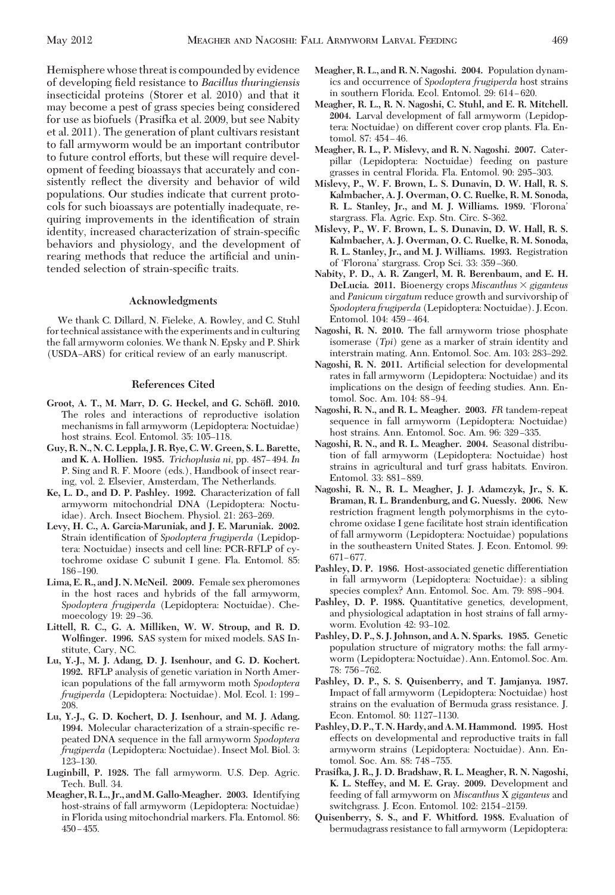Hemisphere whose threat is compounded by evidence of developing Þeld resistance to *Bacillus thuringiensis* insecticidal proteins (Storer et al. 2010) and that it may become a pest of grass species being considered for use as biofuels (Prasifka et al. 2009, but see Nabity et al. 2011). The generation of plant cultivars resistant to fall armyworm would be an important contributor to future control efforts, but these will require development of feeding bioassays that accurately and consistently reflect the diversity and behavior of wild populations. Our studies indicate that current protocols for such bioassays are potentially inadequate, requiring improvements in the identification of strain identity, increased characterization of strain-specific behaviors and physiology, and the development of rearing methods that reduce the artificial and unintended selection of strain-specific traits.

### **Acknowledgments**

We thank C. Dillard, N. Fieleke, A. Rowley, and C. Stuhl for technical assistance with the experiments and in culturing the fall armyworm colonies. We thank N. Epsky and P. Shirk (USDA–ARS) for critical review of an early manuscript.

#### **References Cited**

- Groot, A. T., M. Marr, D. G. Heckel, and G. Schöfl. 2010. The roles and interactions of reproductive isolation mechanisms in fall armyworm (Lepidoptera: Noctuidae) host strains. Ecol. Entomol. 35: 105-118.
- **Guy, R. N., N. C. Leppla, J. R. Rye, C.W. Green, S. L. Barette,** and K. A. Hollien. 1985. *Trichoplusia ni*, pp. 487–494. *In* P. Sing and R. F. Moore (eds.), Handbook of insect rearing, vol. 2. Elsevier, Amsterdam, The Netherlands.
- **Ke, L. D., and D. P. Pashley. 1992.** Characterization of fall armyworm mitochondrial DNA (Lepidoptera: Noctuidae). Arch. Insect Biochem. Physiol. 21: 263-269.
- **Levy, H. C., A. Garcia-Maruniak, and J. E. Maruniak. 2002.** Strain identification of *Spodoptera frugiperda* (Lepidoptera: Noctuidae) insects and cell line: PCR-RFLP of cytochrome oxidase C subunit I gene. Fla. Entomol. 85:  $186 - 190.$
- **Lima, E. R., and J. N. McNeil. 2009.** Female sex pheromones in the host races and hybrids of the fall armyworm, *Spodoptera frugiperda* (Lepidoptera: Noctuidae). Chemoecology 19: 29-36.
- **Littell, R. C., G. A. Milliken, W. W. Stroup, and R. D. Wolfinger. 1996.** SAS system for mixed models. SAS Institute, Cary, NC.
- **Lu, Y.-J., M. J. Adang, D. J. Isenhour, and G. D. Kochert. 1992.** RFLP analysis of genetic variation in North American populations of the fall armyworm moth *Spodoptera frugiperda* (Lepidoptera: Noctuidae). Mol. Ecol. 1: 199-208.
- **Lu, Y.-J., G. D. Kochert, D. J. Isenhour, and M. J. Adang.** 1994. Molecular characterization of a strain-specific repeated DNA sequence in the fall armyworm *Spodoptera frugiperda* (Lepidoptera: Noctuidae). Insect Mol. Biol. 3: 123-130.
- **Luginbill, P. 1928.** The fall armyworm. U.S. Dep. Agric. Tech. Bull. 34.
- **Meagher, R. L., Jr., andM. Gallo-Meagher. 2003.** Identifying host-strains of fall armyworm (Lepidoptera: Noctuidae) in Florida using mitochondrial markers. Fla. Entomol. 86:  $450 - 455.$
- **Meagher, R. L., and R. N. Nagoshi. 2004.** Population dynamics and occurrence of *Spodoptera frugiperda* host strains in southern Florida. Ecol. Entomol. 29: 614-620.
- **Meagher, R. L., R. N. Nagoshi, C. Stuhl, and E. R. Mitchell. 2004.** Larval development of fall armyworm (Lepidoptera: Noctuidae) on different cover crop plants. Fla. Entomol. 87: 454-46.
- **Meagher, R. L., P. Mislevy, and R. N. Nagoshi. 2007.** Caterpillar (Lepidoptera: Noctuidae) feeding on pasture grasses in central Florida. Fla. Entomol. 90: 295-303.
- **Mislevy, P., W. F. Brown, L. S. Dunavin, D. W. Hall, R. S. Kalmbacher, A. J. Overman, O. C. Ruelke, R. M. Sonoda,** R. L. Stanley, Jr., and M. J. Williams. 1989. 'Florona' stargrass. Fla. Agric. Exp. Stn. Circ. S-362.
- **Mislevy, P., W. F. Brown, L. S. Dunavin, D. W. Hall, R. S. Kalmbacher, A. J. Overman, O. C. Ruelke, R. M. Sonoda, R. L. Stanley, Jr., and M. J. Williams. 1993.** Registration of 'Florona' stargrass. Crop Sci. 33: 359-360.
- **Nabity, P. D., A. R. Zangerl, M. R. Berenbaum, and E. H. DeLucia. 2011.** Bioenergy crops *Miscanthus giganteus* and *Panicum virgatum* reduce growth and survivorship of *Spodoptera frugiperda* (Lepidoptera: Noctuidae). J. Econ. Entomol. 104: 459-464.
- **Nagoshi, R. N. 2010.** The fall armyworm triose phosphate isomerase (*Tpi*) gene as a marker of strain identity and interstrain mating. Ann. Entomol. Soc. Am. 103: 283–292.
- Nagoshi, R. N. 2011. Artificial selection for developmental rates in fall armyworm (Lepidoptera: Noctuidae) and its implications on the design of feeding studies. Ann. Entomol. Soc. Am. 104: 88-94.
- **Nagoshi, R. N., and R. L. Meagher. 2003.** *FR* tandem-repeat sequence in fall armyworm (Lepidoptera: Noctuidae) host strains. Ann. Entomol. Soc. Am. 96: 329-335.
- **Nagoshi, R. N., and R. L. Meagher. 2004.** Seasonal distribution of fall armyworm (Lepidoptera: Noctuidae) host strains in agricultural and turf grass habitats. Environ. Entomol. 33: 881-889.
- **Nagoshi, R. N., R. L. Meagher, J. J. Adamczyk, Jr., S. K. Braman, R. L. Brandenburg, and G. Nuessly. 2006.** New restriction fragment length polymorphisms in the cytochrome oxidase I gene facilitate host strain identification of fall armyworm (Lepidoptera: Noctuidae) populations in the southeastern United States. J. Econ. Entomol. 99: 671-677.
- **Pashley, D. P. 1986.** Host-associated genetic differentiation in fall armyworm (Lepidoptera: Noctuidae): a sibling species complex? Ann. Entomol. Soc. Am. 79: 898-904.
- **Pashley, D. P. 1988.** Quantitative genetics, development, and physiological adaptation in host strains of fall armyworm. Evolution 42: 93-102.
- **Pashley, D. P., S. J. Johnson, and A. N. Sparks. 1985.** Genetic population structure of migratory moths: the fall armyworm (Lepidoptera: Noctuidae). Ann. Entomol. Soc. Am. 78: 756-762.
- **Pashley, D. P., S. S. Quisenberry, and T. Jamjanya. 1987.** Impact of fall armyworm (Lepidoptera: Noctuidae) host strains on the evaluation of Bermuda grass resistance. J. Econ. Entomol. 80: 1127-1130.
- **Pashley, D. P., T. N. Hardy, and A.M. Hammond. 1995.** Host effects on developmental and reproductive traits in fall armyworm strains (Lepidoptera: Noctuidae). Ann. Entomol. Soc. Am. 88: 748-755.
- **Prasifka, J. R., J. D. Bradshaw, R. L. Meagher, R. N. Nagoshi, K. L. Steffey, and M. E. Gray. 2009.** Development and feeding of fall armyworm on *Miscanthus* X *giganteus* and switchgrass. J. Econ. Entomol. 102: 2154-2159.
- **Quisenberry, S. S., and F. Whitford. 1988.** Evaluation of bermudagrass resistance to fall armyworm (Lepidoptera: